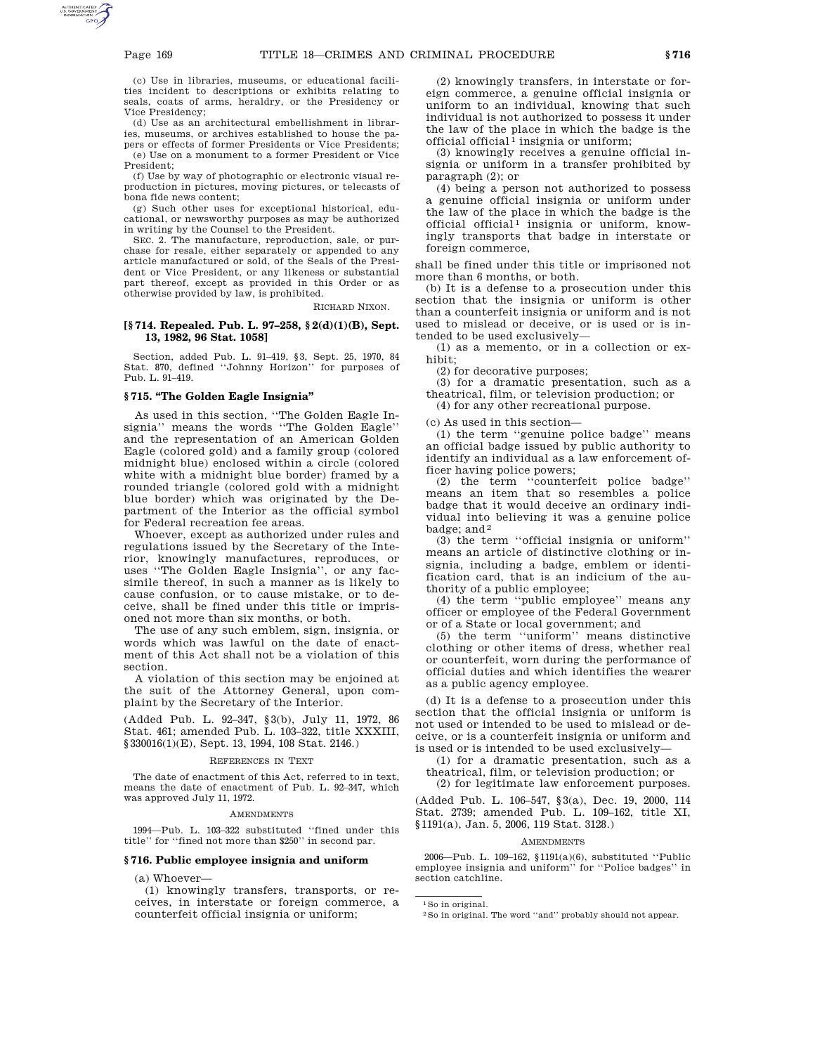(c) Use in libraries, museums, or educational facilities incident to descriptions or exhibits relating to seals, coats of arms, heraldry, or the Presidency or Vice Presidency;

(d) Use as an architectural embellishment in libraries, museums, or archives established to house the papers or effects of former Presidents or Vice Presidents; (e) Use on a monument to a former President or Vice President;

(f) Use by way of photographic or electronic visual reproduction in pictures, moving pictures, or telecasts of bona fide news content;

(g) Such other uses for exceptional historical, educational, or newsworthy purposes as may be authorized in writing by the Counsel to the President.

SEC. 2. The manufacture, reproduction, sale, or purchase for resale, either separately or appended to any article manufactured or sold, of the Seals of the President or Vice President, or any likeness or substantial part thereof, except as provided in this Order or as otherwise provided by law, is prohibited.

RICHARD NIXON.

## **[§ 714. Repealed. Pub. L. 97–258, § 2(d)(1)(B), Sept. 13, 1982, 96 Stat. 1058]**

Section, added Pub. L. 91–419, §3, Sept. 25, 1970, 84 Stat. 870, defined ''Johnny Horizon'' for purposes of Pub. L. 91–419.

# **§ 715. ''The Golden Eagle Insignia''**

As used in this section, ''The Golden Eagle Insignia'' means the words ''The Golden Eagle'' and the representation of an American Golden Eagle (colored gold) and a family group (colored midnight blue) enclosed within a circle (colored white with a midnight blue border) framed by a rounded triangle (colored gold with a midnight blue border) which was originated by the Department of the Interior as the official symbol for Federal recreation fee areas.

Whoever, except as authorized under rules and regulations issued by the Secretary of the Interior, knowingly manufactures, reproduces, or uses ''The Golden Eagle Insignia'', or any facsimile thereof, in such a manner as is likely to cause confusion, or to cause mistake, or to deceive, shall be fined under this title or imprisoned not more than six months, or both.

The use of any such emblem, sign, insignia, or words which was lawful on the date of enactment of this Act shall not be a violation of this section.

A violation of this section may be enjoined at the suit of the Attorney General, upon complaint by the Secretary of the Interior.

(Added Pub. L. 92–347, §3(b), July 11, 1972, 86 Stat. 461; amended Pub. L. 103–322, title XXXIII, §330016(1)(E), Sept. 13, 1994, 108 Stat. 2146.)

#### REFERENCES IN TEXT

The date of enactment of this Act, referred to in text, means the date of enactment of Pub. L. 92–347, which was approved July 11, 1972.

#### **AMENDMENTS**

1994—Pub. L. 103–322 substituted ''fined under this title'' for ''fined not more than \$250'' in second par.

### **§ 716. Public employee insignia and uniform**

(a) Whoever—

(1) knowingly transfers, transports, or receives, in interstate or foreign commerce, a counterfeit official insignia or uniform;

(2) knowingly transfers, in interstate or foreign commerce, a genuine official insignia or uniform to an individual, knowing that such individual is not authorized to possess it under the law of the place in which the badge is the official official  $\overline{1}$  insignia or uniform;

(3) knowingly receives a genuine official insignia or uniform in a transfer prohibited by paragraph (2); or

(4) being a person not authorized to possess a genuine official insignia or uniform under the law of the place in which the badge is the official official<sup>1</sup> insignia or uniform, knowingly transports that badge in interstate or foreign commerce,

shall be fined under this title or imprisoned not more than 6 months, or both.

(b) It is a defense to a prosecution under this section that the insignia or uniform is other than a counterfeit insignia or uniform and is not used to mislead or deceive, or is used or is intended to be used exclusively—

(1) as a memento, or in a collection or exhibit;

(2) for decorative purposes;

(3) for a dramatic presentation, such as a theatrical, film, or television production; or

(4) for any other recreational purpose.

(c) As used in this section—

(1) the term ''genuine police badge'' means an official badge issued by public authority to identify an individual as a law enforcement officer having police powers;

(2) the term ''counterfeit police badge'' means an item that so resembles a police badge that it would deceive an ordinary individual into believing it was a genuine police badge; and 2

(3) the term ''official insignia or uniform'' means an article of distinctive clothing or insignia, including a badge, emblem or identification card, that is an indicium of the authority of a public employee;

(4) the term ''public employee'' means any officer or employee of the Federal Government or of a State or local government; and

(5) the term ''uniform'' means distinctive clothing or other items of dress, whether real or counterfeit, worn during the performance of official duties and which identifies the wearer as a public agency employee.

(d) It is a defense to a prosecution under this section that the official insignia or uniform is not used or intended to be used to mislead or deceive, or is a counterfeit insignia or uniform and is used or is intended to be used exclusively—

(1) for a dramatic presentation, such as a theatrical, film, or television production; or

(2) for legitimate law enforcement purposes.

(Added Pub. L. 106–547, §3(a), Dec. 19, 2000, 114 Stat. 2739; amended Pub. L. 109–162, title XI, §1191(a), Jan. 5, 2006, 119 Stat. 3128.)

#### AMENDMENTS

2006—Pub. L. 109–162, §1191(a)(6), substituted ''Public employee insignia and uniform'' for ''Police badges'' in section catchline.

1So in original.

<sup>2</sup>So in original. The word ''and'' probably should not appear.